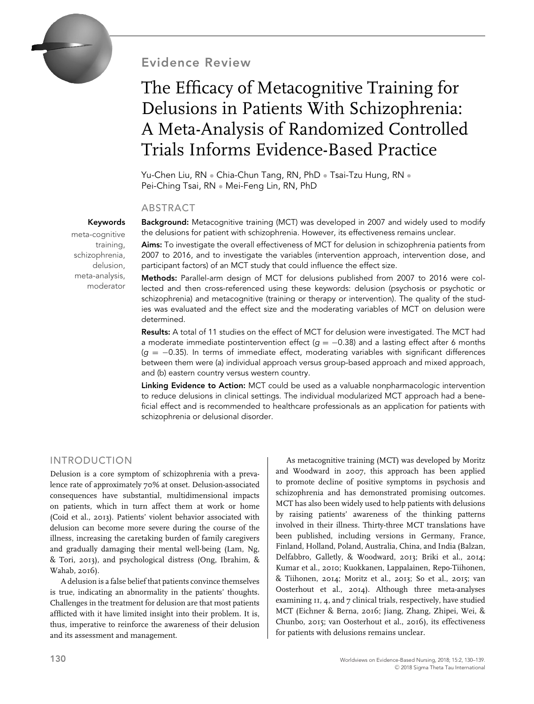

Evidence Review

## The Efficacy of Metacognitive Training for Delusions in Patients With Schizophrenia: A Meta-Analysis of Randomized Controlled Trials Informs Evidence-Based Practice

Yu-Chen Liu, RN • Chia-Chun Tang, RN, PhD • Tsai-Tzu Hung, RN • Pei-Ching Tsai, RN • Mei-Feng Lin, RN, PhD

#### ABSTRACT

Keywords

meta-cognitive training, schizophrenia, delusion, meta-analysis, moderator

Background: Metacognitive training (MCT) was developed in 2007 and widely used to modify the delusions for patient with schizophrenia. However, its effectiveness remains unclear.

Aims: To investigate the overall effectiveness of MCT for delusion in schizophrenia patients from 2007 to 2016, and to investigate the variables (intervention approach, intervention dose, and participant factors) of an MCT study that could influence the effect size.

Methods: Parallel-arm design of MCT for delusions published from 2007 to 2016 were collected and then cross-referenced using these keywords: delusion (psychosis or psychotic or schizophrenia) and metacognitive (training or therapy or intervention). The quality of the studies was evaluated and the effect size and the moderating variables of MCT on delusion were determined.

Results: A total of 11 studies on the effect of MCT for delusion were investigated. The MCT had a moderate immediate postintervention effect (*q* = −0.38) and a lasting effect after 6 months (*g* = −0.35). In terms of immediate effect, moderating variables with significant differences between them were (a) individual approach versus group-based approach and mixed approach, and (b) eastern country versus western country.

Linking Evidence to Action: MCT could be used as a valuable nonpharmacologic intervention to reduce delusions in clinical settings. The individual modularized MCT approach had a beneficial effect and is recommended to healthcare professionals as an application for patients with schizophrenia or delusional disorder.

#### INTRODUCTION

Delusion is a core symptom of schizophrenia with a prevalence rate of approximately 70% at onset. Delusion-associated consequences have substantial, multidimensional impacts on patients, which in turn affect them at work or home (Coid et al., 2013). Patients' violent behavior associated with delusion can become more severe during the course of the illness, increasing the caretaking burden of family caregivers and gradually damaging their mental well-being (Lam, Ng, & Tori, 2013), and psychological distress (Ong, Ibrahim, & Wahab, 2016).

A delusion is a false belief that patients convince themselves is true, indicating an abnormality in the patients' thoughts. Challenges in the treatment for delusion are that most patients afflicted with it have limited insight into their problem. It is, thus, imperative to reinforce the awareness of their delusion and its assessment and management.

As metacognitive training (MCT) was developed by Moritz and Woodward in 2007, this approach has been applied to promote decline of positive symptoms in psychosis and schizophrenia and has demonstrated promising outcomes. MCT has also been widely used to help patients with delusions by raising patients' awareness of the thinking patterns involved in their illness. Thirty-three MCT translations have been published, including versions in Germany, France, Finland, Holland, Poland, Australia, China, and India (Balzan, Delfabbro, Galletly, & Woodward, 2013; Briki et al., 2014; Kumar et al., 2010; Kuokkanen, Lappalainen, Repo-Tiihonen, & Tiihonen, 2014; Moritz et al., 2013; So et al., 2015; van Oosterhout et al., 2014). Although three meta-analyses examining 11, 4, and 7 clinical trials, respectively, have studied MCT (Eichner & Berna, 2016; Jiang, Zhang, Zhipei, Wei, & Chunbo, 2015; van Oosterhout et al., 2016), its effectiveness for patients with delusions remains unclear.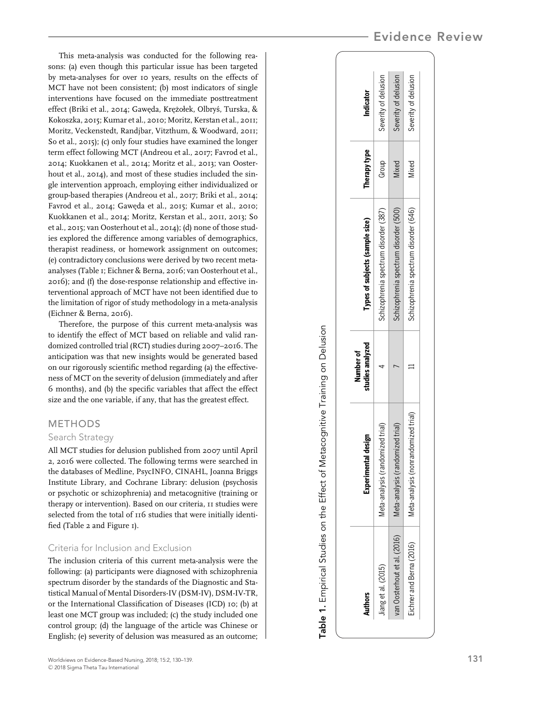This meta-analysis was conducted for the following reasons: (a) even though this particular issue has been targeted by meta-analyses for over 10 years, results on the effects of MCT have not been consistent; (b) most indicators of single interventions have focused on the immediate posttreatment effect (Briki et al., 2014; Gawęda, Krężołek, Olbryś, Turska, & Kokoszka, 2015; Kumar et al., 2010; Moritz, Kerstan et al., 2011; Moritz, Veckenstedt, Randjbar, Vitzthum, & Woodward, 2011; So et al., 2015); (c) only four studies have examined the longer term effect following MCT (Andreou et al., 2017; Favrod et al., 2014; Kuokkanen et al., 2014; Moritz et al., 2013; van Oosterhout et al., 2014), and most of these studies included the single intervention approach, employing either individualized or group-based therapies (Andreou et al., 2017; Briki et al., 2014; Favrod et al., 2014; Gaweda et al., 2015; Kumar et al., 2010; Kuokkanen et al., 2014; Moritz, Kerstan et al., 2011, 2013; So et al., 2015; van Oosterhout et al., 2014); (d) none of those studies explored the difference among variables of demographics, therapist readiness, or homework assignment on outcomes; (e) contradictory conclusions were derived by two recent metaanalyses (Table 1; Eichner & Berna, 2016; van Oosterhout et al., 2016); and (f) the dose-response relationship and effective interventional approach of MCT have not been identified due to the limitation of rigor of study methodology in a meta-analysis (Eichner & Berna, 2016).

Therefore, the purpose of this current meta-analysis was to identify the effect of MCT based on reliable and valid randomized controlled trial (RCT) studies during 2007–2016. The anticipation was that new insights would be generated based on our rigorously scientific method regarding (a) the effectiveness of MCT on the severity of delusion (immediately and after 6 months), and (b) the specific variables that affect the effect size and the one variable, if any, that has the greatest effect.

#### METHODS

#### Search Strategy

All MCT studies for delusion published from 2007 until April 2, 2016 were collected. The following terms were searched in the databases of Medline, PsycINFO, CINAHL, Joanna Briggs Institute Library, and Cochrane Library: delusion (psychosis or psychotic or schizophrenia) and metacognitive (training or therapy or intervention). Based on our criteria, 11 studies were selected from the total of 116 studies that were initially identified (Table 2 and Figure 1).

#### Criteria for Inclusion and Exclusion

The inclusion criteria of this current meta-analysis were the following: (a) participants were diagnosed with schizophrenia spectrum disorder by the standards of the Diagnostic and Statistical Manual of Mental Disorders-IV (DSM-IV), DSM-IV-TR, or the International Classification of Diseases (ICD) 10; (b) at least one MCT group was included; (c) the study included one control group; (d) the language of the article was Chinese or English; (e) severity of delusion was measured as an outcome;

| <b>Authors</b>               | Experimental design                 | studies analyzed<br>Number of | Types of subjects (sample size)       | <b>Therapy type</b> | Indicator            |
|------------------------------|-------------------------------------|-------------------------------|---------------------------------------|---------------------|----------------------|
| Jiang et al. (2015)          | /leta-analysis (randomized trial)   |                               | Schizophrenia spectrum disorder (387) | Group               | Severity of delusion |
| van Oosterhout et al. (2016) | /leta-analysis (randomized trial)   |                               | Schizophrenia spectrum disorder (500) | Vixed               | Severity of delusion |
| Eichner and Berna (2016)     | Meta-analysis (nonrandomized trial) |                               | Schizophrenia spectrum disorder (646) | Vixed               | Severity of delusion |

Table 1. Empirical Studies on the Effect of Metacognitive Training on Delusion

Table 1. Empirical Studies on the Effect of Metacognitive Training on Delusion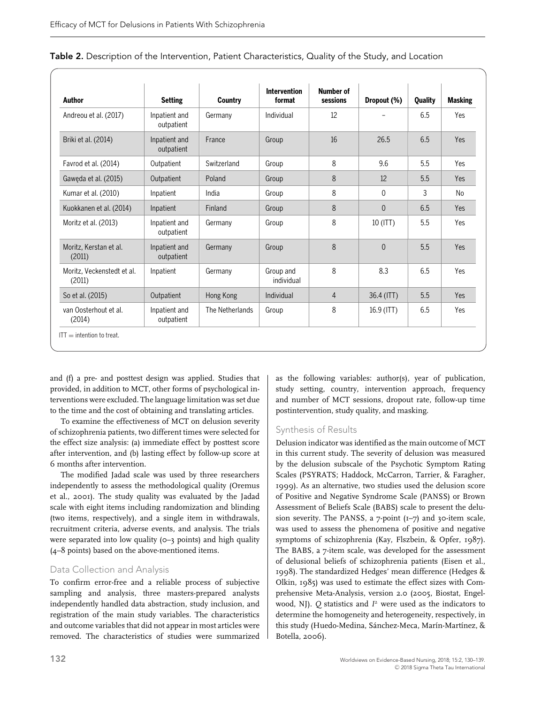| Author                               | <b>Setting</b>              | Country         | <b>Intervention</b><br>format | <b>Number of</b><br>sessions | Dropout (%) | <b>Quality</b> | <b>Masking</b> |
|--------------------------------------|-----------------------------|-----------------|-------------------------------|------------------------------|-------------|----------------|----------------|
| Andreou et al. (2017)                | Inpatient and<br>outpatient | Germany         | Individual                    | 12                           |             | 6.5            | Yes            |
| Briki et al. (2014)                  | Inpatient and<br>outpatient | France          | Group                         | 16                           | 26.5        | 6.5            | Yes            |
| Favrod et al. (2014)                 | Outpatient                  | Switzerland     | Group                         | 8                            | 9.6         | 5.5            | Yes            |
| Gaweda et al. (2015)                 | Outpatient                  | Poland          | Group                         | 8                            | 12          | 5.5            | Yes            |
| Kumar et al. (2010)                  | Inpatient                   | India           | Group                         | 8                            | $\Omega$    | 3              | No             |
| Kuokkanen et al. (2014)              | Inpatient                   | Finland         | Group                         | 8                            | $\Omega$    | 6.5            | Yes            |
| Moritz et al. (2013)                 | Inpatient and<br>outpatient | Germany         | Group                         | 8                            | $10$ (ITT)  | 5.5            | Yes            |
| Moritz, Kerstan et al.<br>(2011)     | Inpatient and<br>outpatient | Germany         | Group                         | 8                            | $\theta$    | 5.5            | Yes            |
| Moritz. Veckenstedt et al.<br>(2011) | Inpatient                   | Germany         | Group and<br>individual       | 8                            | 8.3         | 6.5            | Yes            |
| So et al. (2015)                     | Outpatient                  | Hong Kong       | Individual                    | $\overline{4}$               | 36.4 (ITT)  | 5.5            | Yes            |
| van Oosterhout et al.<br>(2014)      | Inpatient and<br>outpatient | The Netherlands | Group                         | 8                            | 16.9 (ITT)  | 6.5            | Yes            |

| Table 2. Description of the Intervention, Patient Characteristics, Quality of the Study, and Location |  |  |  |
|-------------------------------------------------------------------------------------------------------|--|--|--|
|-------------------------------------------------------------------------------------------------------|--|--|--|

and (f) a pre- and posttest design was applied. Studies that provided, in addition to MCT, other forms of psychological interventions were excluded. The language limitation was set due to the time and the cost of obtaining and translating articles.

To examine the effectiveness of MCT on delusion severity of schizophrenia patients, two different times were selected for the effect size analysis: (a) immediate effect by posttest score after intervention, and (b) lasting effect by follow-up score at 6 months after intervention.

The modified Jadad scale was used by three researchers independently to assess the methodological quality (Oremus et al., 2001). The study quality was evaluated by the Jadad scale with eight items including randomization and blinding (two items, respectively), and a single item in withdrawals, recruitment criteria, adverse events, and analysis. The trials were separated into low quality  $(0-3)$  points) and high quality (4–8 points) based on the above-mentioned items.

#### Data Collection and Analysis

To confirm error-free and a reliable process of subjective sampling and analysis, three masters-prepared analysts independently handled data abstraction, study inclusion, and registration of the main study variables. The characteristics and outcome variables that did not appear in most articles were removed. The characteristics of studies were summarized

as the following variables: author(s), year of publication, study setting, country, intervention approach, frequency and number of MCT sessions, dropout rate, follow-up time postintervention, study quality, and masking.

#### Synthesis of Results

Delusion indicator was identified as the main outcome of MCT in this current study. The severity of delusion was measured by the delusion subscale of the Psychotic Symptom Rating Scales (PSYRATS; Haddock, McCarron, Tarrier, & Faragher, 1999). As an alternative, two studies used the delusion score of Positive and Negative Syndrome Scale (PANSS) or Brown Assessment of Beliefs Scale (BABS) scale to present the delusion severity. The PANSS, a 7-point (1-7) and 30-item scale, was used to assess the phenomena of positive and negative symptoms of schizophrenia (Kay, Flszbein, & Opfer, 1987). The BABS, a 7-item scale, was developed for the assessment of delusional beliefs of schizophrenia patients (Eisen et al., 1998). The standardized Hedges' mean difference (Hedges & Olkin, 1985) was used to estimate the effect sizes with Comprehensive Meta-Analysis, version 2.0 (2005, Biostat, Engelwood, NJ). *Q* statistics and *I*<sup>2</sup> were used as the indicators to determine the homogeneity and heterogeneity, respectively, in this study (Huedo-Medina, Sánchez-Meca, Marín-Martínez, & Botella, 2006).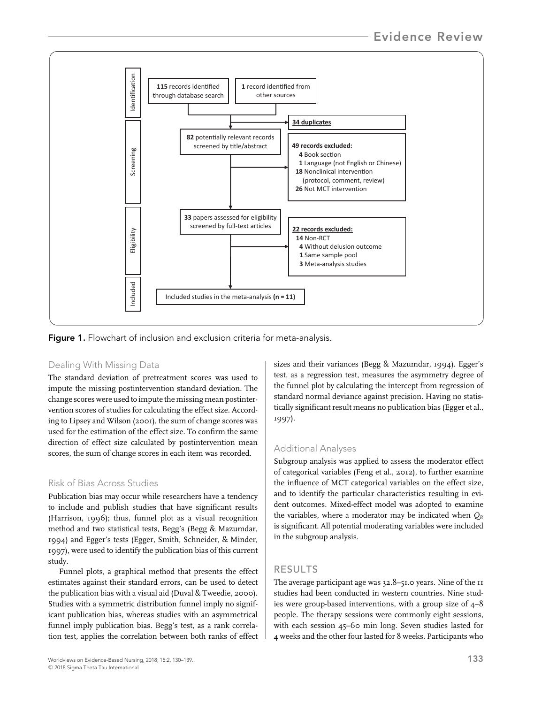

Figure 1. Flowchart of inclusion and exclusion criteria for meta-analysis.

## Dealing With Missing Data

The standard deviation of pretreatment scores was used to impute the missing postintervention standard deviation. The change scores were used to impute the missing mean postintervention scores of studies for calculating the effect size. According to Lipsey and Wilson (2001), the sum of change scores was used for the estimation of the effect size. To confirm the same direction of effect size calculated by postintervention mean scores, the sum of change scores in each item was recorded.

## Risk of Bias Across Studies

Publication bias may occur while researchers have a tendency to include and publish studies that have significant results (Harrison, 1996); thus, funnel plot as a visual recognition method and two statistical tests, Begg's (Begg & Mazumdar, 1994) and Egger's tests (Egger, Smith, Schneider, & Minder, 1997), were used to identify the publication bias of this current study.

Funnel plots, a graphical method that presents the effect estimates against their standard errors, can be used to detect the publication bias with a visual aid (Duval & Tweedie, 2000). Studies with a symmetric distribution funnel imply no significant publication bias, whereas studies with an asymmetrical funnel imply publication bias. Begg's test, as a rank correlation test, applies the correlation between both ranks of effect

Worldviews on Evidence-Based Nursing, 2018; 15:2, 130–139. 133 -<sup>C</sup> 2018 Sigma Theta Tau International

sizes and their variances (Begg & Mazumdar, 1994). Egger's test, as a regression test, measures the asymmetry degree of the funnel plot by calculating the intercept from regression of standard normal deviance against precision. Having no statistically significant result means no publication bias (Egger et al., 1997).

## Additional Analyses

Subgroup analysis was applied to assess the moderator effect of categorical variables (Feng et al., 2012), to further examine the influence of MCT categorical variables on the effect size, and to identify the particular characteristics resulting in evident outcomes. Mixed-effect model was adopted to examine the variables, where a moderator may be indicated when  $Q_B$ is significant. All potential moderating variables were included in the subgroup analysis.

## RESULTS

The average participant age was 32.8–51.0 years. Nine of the 11 studies had been conducted in western countries. Nine studies were group-based interventions, with a group size of 4–8 people. The therapy sessions were commonly eight sessions, with each session 45–60 min long. Seven studies lasted for 4 weeks and the other four lasted for 8 weeks. Participants who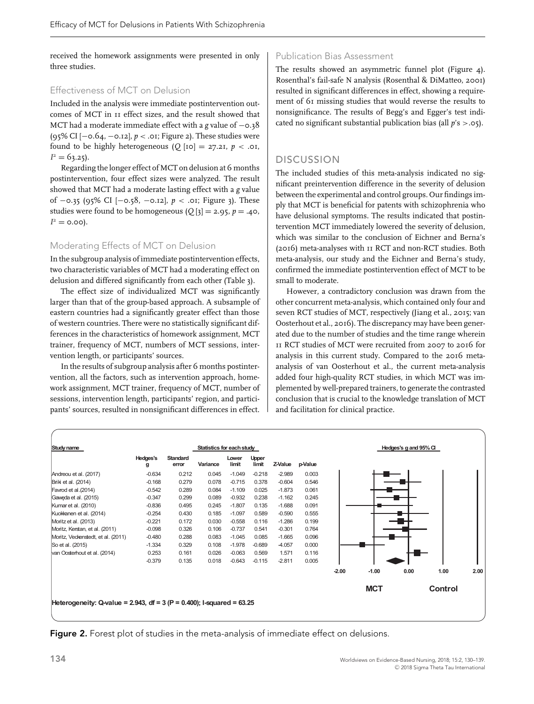received the homework assignments were presented in only three studies.

#### Effectiveness of MCT on Delusion

Included in the analysis were immediate postintervention outcomes of MCT in 11 effect sizes, and the result showed that MCT had a moderate immediate effect with a *g* value of −0.38 (95% CI [−0.64, −0.12], *p <* .01; Figure 2). These studies were found to be highly heterogeneous  $(Q |IO| = 27.21, p < .01,$  $I^2 = 63.25$ .

Regarding the longer effect of MCT on delusion at 6 months postintervention, four effect sizes were analyzed. The result showed that MCT had a moderate lasting effect with a *g* value of −0.35 (95% CI [−0.58, −0.12], *p <* .01; Figure 3). These studies were found to be homogeneous  $(Q_3] = 2.95$ ,  $p = .40$ ,  $I^2 = 0.00$ .

#### Moderating Effects of MCT on Delusion

In the subgroup analysis of immediate postintervention effects, two characteristic variables of MCT had a moderating effect on delusion and differed significantly from each other (Table 3).

The effect size of individualized MCT was significantly larger than that of the group-based approach. A subsample of eastern countries had a significantly greater effect than those of western countries. There were no statistically significant differences in the characteristics of homework assignment, MCT trainer, frequency of MCT, numbers of MCT sessions, intervention length, or participants' sources.

In the results of subgroup analysis after 6 months postintervention, all the factors, such as intervention approach, homework assignment, MCT trainer, frequency of MCT, number of sessions, intervention length, participants' region, and participants' sources, resulted in nonsignificant differences in effect.

#### Publication Bias Assessment

The results showed an asymmetric funnel plot (Figure 4). Rosenthal's fail-safe N analysis (Rosenthal & DiMatteo, 2001) resulted in significant differences in effect, showing a requirement of 61 missing studies that would reverse the results to nonsignificance. The results of Begg's and Egger's test indicated no significant substantial publication bias (all *p*'s *>*.05).

## DISCUSSION

The included studies of this meta-analysis indicated no significant preintervention difference in the severity of delusion between the experimental and control groups. Our findings imply that MCT is beneficial for patents with schizophrenia who have delusional symptoms. The results indicated that postintervention MCT immediately lowered the severity of delusion, which was similar to the conclusion of Eichner and Berna's (2016) meta-analyses with 11 RCT and non-RCT studies. Both meta-analysis, our study and the Eichner and Berna's study, confirmed the immediate postintervention effect of MCT to be small to moderate.

However, a contradictory conclusion was drawn from the other concurrent meta-analysis, which contained only four and seven RCT studies of MCT, respectively (Jiang et al., 2015; van Oosterhout et al., 2016). The discrepancy may have been generated due to the number of studies and the time range wherein 11 RCT studies of MCT were recruited from 2007 to 2016 for analysis in this current study. Compared to the 2016 metaanalysis of van Oosterhout et al., the current meta-analysis added four high-quality RCT studies, in which MCT was implemented by well-prepared trainers, to generate the contrasted conclusion that is crucial to the knowledge translation of MCT and facilitation for clinical practice.



**Figure 2.** Forest plot of studies in the meta-analysis of immediate effect on delusions.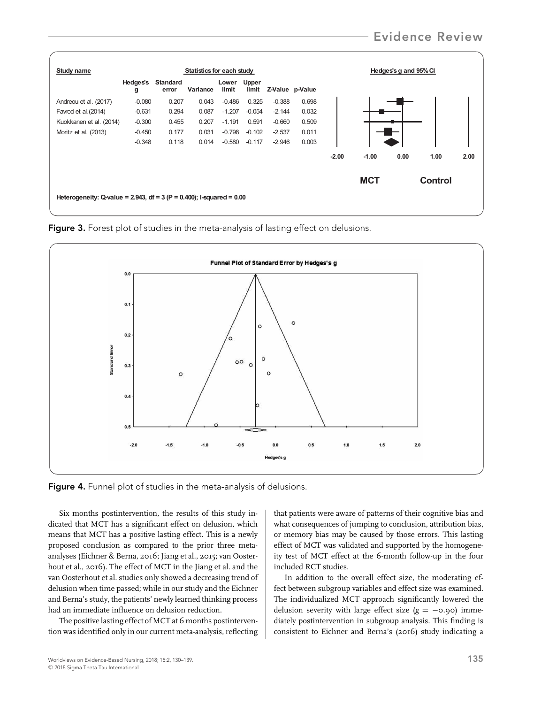

Figure 3. Forest plot of studies in the meta-analysis of lasting effect on delusions.



Figure 4. Funnel plot of studies in the meta-analysis of delusions.

Six months postintervention, the results of this study indicated that MCT has a significant effect on delusion, which means that MCT has a positive lasting effect. This is a newly proposed conclusion as compared to the prior three metaanalyses (Eichner & Berna, 2016; Jiang et al., 2015; van Oosterhout et al., 2016). The effect of MCT in the Jiang et al. and the van Oosterhout et al. studies only showed a decreasing trend of delusion when time passed; while in our study and the Eichner and Berna's study, the patients' newly learned thinking process had an immediate influence on delusion reduction.

The positive lasting effect of MCT at 6 months postintervention was identified only in our current meta-analysis, reflecting that patients were aware of patterns of their cognitive bias and what consequences of jumping to conclusion, attribution bias, or memory bias may be caused by those errors. This lasting effect of MCT was validated and supported by the homogeneity test of MCT effect at the 6-month follow-up in the four included RCT studies.

In addition to the overall effect size, the moderating effect between subgroup variables and effect size was examined. The individualized MCT approach significantly lowered the delusion severity with large effect size  $(g = -0.90)$  immediately postintervention in subgroup analysis. This finding is consistent to Eichner and Berna's (2016) study indicating a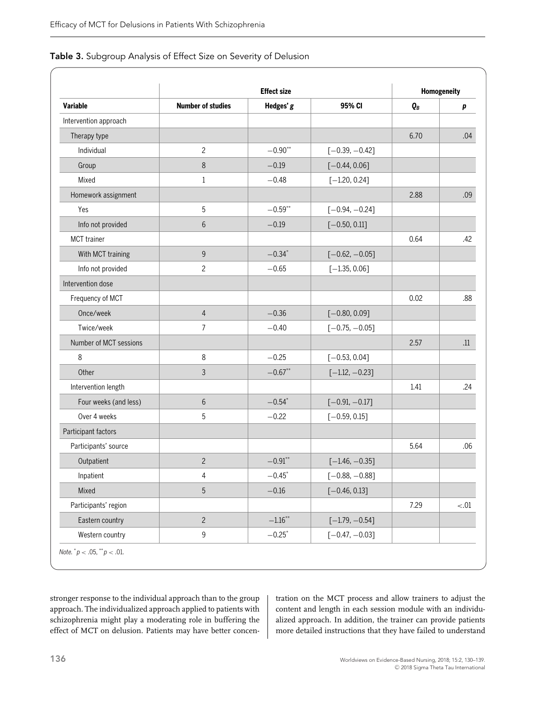|  |  | Table 3. Subgroup Analysis of Effect Size on Severity of Delusion |  |
|--|--|-------------------------------------------------------------------|--|
|--|--|-------------------------------------------------------------------|--|

|                        | <b>Effect size</b>       |                    |                  | Homogeneity |         |
|------------------------|--------------------------|--------------------|------------------|-------------|---------|
| <b>Variable</b>        | <b>Number of studies</b> | Hedges' g          | 95% CI           | $Q_B$       | p       |
| Intervention approach  |                          |                    |                  |             |         |
| Therapy type           |                          |                    |                  | 6.70        | .04     |
| Individual             | $\overline{c}$           | $-0.90**$          | $[-0.39, -0.42]$ |             |         |
| Group                  | 8                        | $-0.19$            | $[-0.44, 0.06]$  |             |         |
| Mixed                  | $\mathbf{1}$             | $-0.48$            | $[-1.20, 0.24]$  |             |         |
| Homework assignment    |                          |                    |                  | 2.88        | .09     |
| Yes                    | 5                        | $-0.59***$         | $[-0.94, -0.24]$ |             |         |
| Info not provided      | 6                        | $-0.19$            | $[-0.50, 0.11]$  |             |         |
| MCT trainer            |                          |                    |                  | 0.64        | .42     |
| With MCT training      | $\overline{9}$           | $-0.34*$           | $[-0.62, -0.05]$ |             |         |
| Info not provided      | $\overline{c}$           | $-0.65$            | $[-1.35, 0.06]$  |             |         |
| Intervention dose      |                          |                    |                  |             |         |
| Frequency of MCT       |                          |                    |                  | 0.02        | .88     |
| Once/week              | $\overline{4}$           | $-0.36$            | $[-0.80, 0.09]$  |             |         |
| Twice/week             | $\overline{7}$           | $-0.40$            | $[-0.75, -0.05]$ |             |         |
| Number of MCT sessions |                          |                    |                  | 2.57        | .11     |
| $\,8\,$                | 8                        | $-0.25$            | $[-0.53, 0.04]$  |             |         |
| Other                  | 3                        | $-0.67**$          | $[-1.12, -0.23]$ |             |         |
| Intervention length    |                          |                    |                  | 1.41        | .24     |
| Four weeks (and less)  | 6                        | $-0.54*$           | $[-0.91, -0.17]$ |             |         |
| Over 4 weeks           | 5                        | $-0.22$            | $[-0.59, 0.15]$  |             |         |
| Participant factors    |                          |                    |                  |             |         |
| Participants' source   |                          |                    |                  | 5.64        | .06     |
| Outpatient             | $\overline{c}$           | $-0.91$ **         | $[-1.46, -0.35]$ |             |         |
| Inpatient              | 4                        | $-0.45$ *          | $[-0.88, -0.88]$ |             |         |
| Mixed                  | 5                        | $-0.16$            | $[-0.46, 0.13]$  |             |         |
| Participants' region   |                          |                    |                  | 7.29        | $< .01$ |
| Eastern country        | $\overline{c}$           | $-1.16^{\ast\ast}$ | $[-1.79, -0.54]$ |             |         |
| Western country        | $\mathsf 9$              | $-0.25$ *          | $[-0.47, -0.03]$ |             |         |

stronger response to the individual approach than to the group approach. The individualized approach applied to patients with schizophrenia might play a moderating role in buffering the effect of MCT on delusion. Patients may have better concentration on the MCT process and allow trainers to adjust the content and length in each session module with an individualized approach. In addition, the trainer can provide patients more detailed instructions that they have failed to understand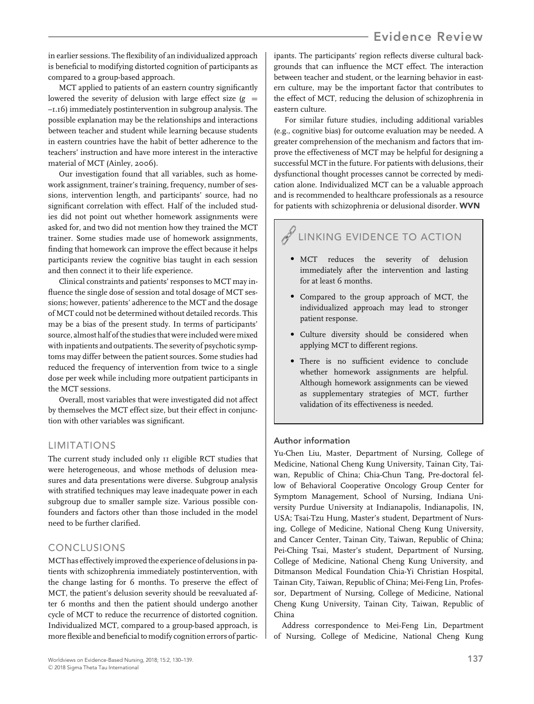## Evidence Review

in earlier sessions. The flexibility of an individualized approach is beneficial to modifying distorted cognition of participants as compared to a group-based approach.

MCT applied to patients of an eastern country significantly lowered the severity of delusion with large effect size  $(g =$ –1.16) immediately postintervention in subgroup analysis. The possible explanation may be the relationships and interactions between teacher and student while learning because students in eastern countries have the habit of better adherence to the teachers' instruction and have more interest in the interactive material of MCT (Ainley, 2006).

Our investigation found that all variables, such as homework assignment, trainer's training, frequency, number of sessions, intervention length, and participants' source, had no significant correlation with effect. Half of the included studies did not point out whether homework assignments were asked for, and two did not mention how they trained the MCT trainer. Some studies made use of homework assignments, finding that homework can improve the effect because it helps participants review the cognitive bias taught in each session and then connect it to their life experience.

Clinical constraints and patients' responses to MCT may influence the single dose of session and total dosage of MCT sessions; however, patients' adherence to the MCT and the dosage of MCT could not be determined without detailed records. This may be a bias of the present study. In terms of participants' source, almost half of the studies that were included were mixed with inpatients and outpatients. The severity of psychotic symptoms may differ between the patient sources. Some studies had reduced the frequency of intervention from twice to a single dose per week while including more outpatient participants in the MCT sessions.

Overall, most variables that were investigated did not affect by themselves the MCT effect size, but their effect in conjunction with other variables was significant.

#### LIMITATIONS

The current study included only 11 eligible RCT studies that were heterogeneous, and whose methods of delusion measures and data presentations were diverse. Subgroup analysis with stratified techniques may leave inadequate power in each subgroup due to smaller sample size. Various possible confounders and factors other than those included in the model need to be further clarified.

#### CONCLUSIONS

MCT has effectively improved the experience of delusions in patients with schizophrenia immediately postintervention, with the change lasting for 6 months. To preserve the effect of MCT, the patient's delusion severity should be reevaluated after 6 months and then the patient should undergo another cycle of MCT to reduce the recurrence of distorted cognition. Individualized MCT, compared to a group-based approach, is more flexible and beneficial to modify cognition errors of participants. The participants' region reflects diverse cultural backgrounds that can influence the MCT effect. The interaction between teacher and student, or the learning behavior in eastern culture, may be the important factor that contributes to the effect of MCT, reducing the delusion of schizophrenia in eastern culture.

For similar future studies, including additional variables (e.g., cognitive bias) for outcome evaluation may be needed. A greater comprehension of the mechanism and factors that improve the effectiveness of MCT may be helpful for designing a successful MCT in the future. For patients with delusions, their dysfunctional thought processes cannot be corrected by medication alone. Individualized MCT can be a valuable approach and is recommended to healthcare professionals as a resource for patients with schizophrenia or delusional disorder. WVN

# LINKING EVIDENCE TO ACTION

- MCT reduces the severity of delusion immediately after the intervention and lasting for at least 6 months.
- Compared to the group approach of MCT, the individualized approach may lead to stronger patient response.
- Culture diversity should be considered when applying MCT to different regions.
- There is no sufficient evidence to conclude whether homework assignments are helpful. Although homework assignments can be viewed as supplementary strategies of MCT, further validation of its effectiveness is needed.

## Author information

Yu-Chen Liu, Master, Department of Nursing, College of Medicine, National Cheng Kung University, Tainan City, Taiwan, Republic of China; Chia-Chun Tang, Pre-doctoral fellow of Behavioral Cooperative Oncology Group Center for Symptom Management, School of Nursing, Indiana University Purdue University at Indianapolis, Indianapolis, IN, USA; Tsai-Tzu Hung, Master's student, Department of Nursing, College of Medicine, National Cheng Kung University, and Cancer Center, Tainan City, Taiwan, Republic of China; Pei-Ching Tsai, Master's student, Department of Nursing, College of Medicine, National Cheng Kung University, and Ditmanson Medical Foundation Chia-Yi Christian Hospital, Tainan City, Taiwan, Republic of China; Mei-Feng Lin, Professor, Department of Nursing, College of Medicine, National Cheng Kung University, Tainan City, Taiwan, Republic of China

Address correspondence to Mei-Feng Lin, Department of Nursing, College of Medicine, National Cheng Kung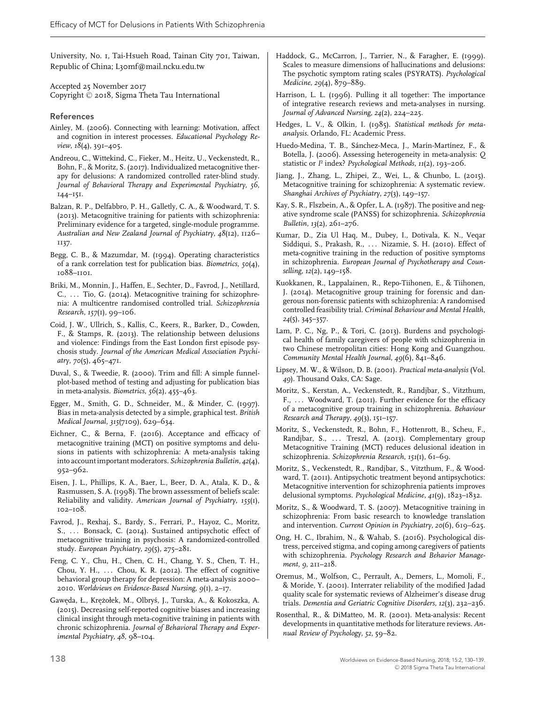University, No. 1, Tai-Hsueh Road, Tainan City 701, Taiwan, Republic of China; L30mf@mail.ncku.edu.tw

Accepted 25 November 2017 Copyright © 2018, Sigma Theta Tau International

#### References

- Ainley, M. (2006). Connecting with learning: Motivation, affect and cognition in interest processes. *Educational Psychology Review*, *18*(4), 391–405.
- Andreou, C., Wittekind, C., Fieker, M., Heitz, U., Veckenstedt, R., Bohn, F., & Moritz, S. (2017). Individualized metacognitive therapy for delusions: A randomized controlled rater-blind study. *Journal of Behavioral Therapy and Experimental Psychiatry*, *56*, 144–151.
- Balzan, R. P., Delfabbro, P. H., Galletly, C. A., & Woodward, T. S. (2013). Metacognitive training for patients with schizophrenia: Preliminary evidence for a targeted, single-module programme. *Australian and New Zealand Journal of Psychiatry*, *48*(12), 1126– 1137.
- Begg, C. B., & Mazumdar, M. (1994). Operating characteristics of a rank correlation test for publication bias. *Biometrics*, *50*(4), 1088–1101.
- Briki, M., Monnin, J., Haffen, E., Sechter, D., Favrod, J., Netillard, C., ... Tio, G. (2014). Metacognitive training for schizophrenia: A multicentre randomised controlled trial. *Schizophrenia Research*, *157*(1), 99–106.
- Coid, J. W., Ullrich, S., Kallis, C., Keers, R., Barker, D., Cowden, F., & Stamps, R. (2013). The relationship between delusions and violence: Findings from the East London first episode psychosis study. *Journal of the American Medical Association Psychiatry*, *70*(5), 465–471.
- Duval, S., & Tweedie, R. (2000). Trim and fill: A simple funnelplot-based method of testing and adjusting for publication bias in meta-analysis. *Biometrics*, *56*(2), 455–463.
- Egger, M., Smith, G. D., Schneider, M., & Minder, C. (1997). Bias in meta-analysis detected by a simple, graphical test. *British Medical Journal*, *315*(7109), 629–634.
- Eichner, C., & Berna, F. (2016). Acceptance and efficacy of metacognitive training (MCT) on positive symptoms and delusions in patients with schizophrenia: A meta-analysis taking into account important moderators. *Schizophrenia Bulletin*, *42*(4), 952–962.
- Eisen, J. L., Phillips, K. A., Baer, L., Beer, D. A., Atala, K. D., & Rasmussen, S. A. (1998). The brown assessment of beliefs scale: Reliability and validity. *American Journal of Psychiatry*, *155*(1), 102–108.
- Favrod, J., Rexhaj, S., Bardy, S., Ferrari, P., Hayoz, C., Moritz, S., ... Bonsack, C. (2014). Sustained antipsychotic effect of metacognitive training in psychosis: A randomized-controlled study. *European Psychiatry*, *29*(5), 275–281.
- Feng, C. Y., Chu, H., Chen, C. H., Chang, Y. S., Chen, T. H., Chou, Y. H., ... Chou, K. R. (2012). The effect of cognitive behavioral group therapy for depression: A meta-analysis 2000– 2010. *Worldviews on Evidence-Based Nursing*, *9*(1), 2–17.
- Gawęda, Ł., Krężołek, M., Olbryś, J., Turska, A., & Kokoszka, A. (2015). Decreasing self-reported cognitive biases and increasing clinical insight through meta-cognitive training in patients with chronic schizophrenia. *Journal of Behavioral Therapy and Experimental Psychiatry*, *48*, 98–104.
- Haddock, G., McCarron, J., Tarrier, N., & Faragher, E. (1999). Scales to measure dimensions of hallucinations and delusions: The psychotic symptom rating scales (PSYRATS). *Psychological Medicine*, *29*(4), 879–889.
- Harrison, L. L. (1996). Pulling it all together: The importance of integrative research reviews and meta-analyses in nursing. *Journal of Advanced Nursing*, *24*(2), 224–225.
- Hedges, L. V., & Olkin, I. (1985). *Statistical methods for metaanalysis*. Orlando, FL: Academic Press.
- Huedo-Medina, T. B., Sánchez-Meca, J., Marín-Martínez, F., & Botella, J. (2006). Assessing heterogeneity in meta-analysis: *Q* statistic or *I*² index? *Psychological Methods*, *11*(2), 193–206.
- Jiang, J., Zhang, L., Zhipei, Z., Wei, L., & Chunbo, L. (2015). Metacognitive training for schizophrenia: A systematic review. *Shanghai Archives of Psychiatry*, *27*(3), 149–157.
- Kay, S. R., Flszbein, A., & Opfer, L. A. (1987). The positive and negative syndrome scale (PANSS) for schizophrenia. *Schizophrenia Bulletin*, *13*(2), 261–276.
- Kumar, D., Zia Ul Haq, M., Dubey, I., Dotivala, K. N., Veqar Siddiqui, S., Prakash, R., ... Nizamie, S. H. (2010). Effect of meta-cognitive training in the reduction of positive symptoms in schizophrenia. *European Journal of Psychotherapy and Counselling*, *12*(2), 149–158.
- Kuokkanen, R., Lappalainen, R., Repo-Tiihonen, E., & Tiihonen, J. (2014). Metacognitive group training for forensic and dangerous non-forensic patients with schizophrenia: A randomised controlled feasibility trial. *Criminal Behaviour and Mental Health*, *24*(5), 345–357.
- Lam, P. C., Ng, P., & Tori, C. (2013). Burdens and psychological health of family caregivers of people with schizophrenia in two Chinese metropolitan cities: Hong Kong and Guangzhou. *Community Mental Health Journal*, *49*(6), 841–846.
- Lipsey, M. W., & Wilson, D. B. (2001). *Practical meta-analysis* (Vol. *49*). Thousand Oaks, CA: Sage.
- Moritz, S., Kerstan, A., Veckenstedt, R., Randjbar, S., Vitzthum, F., ... Woodward, T. (2011). Further evidence for the efficacy of a metacognitive group training in schizophrenia. *Behaviour Research and Therapy*, *49*(3), 151–157.
- Moritz, S., Veckenstedt, R., Bohn, F., Hottenrott, B., Scheu, F., Randjbar, S., ... Treszl, A. (2013). Complementary group Metacognitive Training (MCT) reduces delusional ideation in schizophrenia. *Schizophrenia Research*, *151*(1), 61–69.
- Moritz, S., Veckenstedt, R., Randjbar, S., Vitzthum, F., & Woodward, T. (2011). Antipsychotic treatment beyond antipsychotics: Metacognitive intervention for schizophrenia patients improves delusional symptoms. *Psychological Medicine*, *41*(9), 1823–1832.
- Moritz, S., & Woodward, T. S. (2007). Metacognitive training in schizophrenia: From basic research to knowledge translation and intervention. *Current Opinion in Psychiatry*, *20*(6), 619–625.
- Ong, H. C., Ibrahim, N., & Wahab, S. (2016). Psychological distress, perceived stigma, and coping among caregivers of patients with schizophrenia. *Psychology Research and Behavior Management*, *9*, 211–218.
- Oremus, M., Wolfson, C., Perrault, A., Demers, L., Momoli, F., & Moride, Y. (2001). Interrater reliability of the modified Jadad quality scale for systematic reviews of Alzheimer's disease drug trials. *Dementia and Geriatric Cognitive Disorders*, *12*(3), 232–236.
- Rosenthal, R., & DiMatteo, M. R. (2001). Meta-analysis: Recent developments in quantitative methods for literature reviews. *Annual Review of Psychology*, *52*, 59–82.